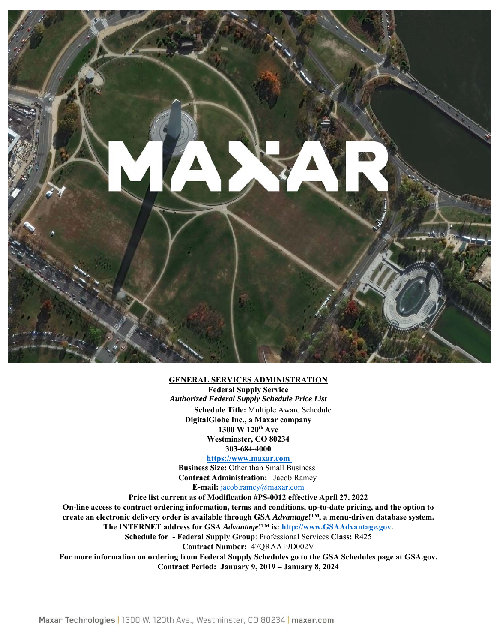

#### **GENERAL SERVICES ADMINISTRATION**

**Federal Supply Service**  *Authorized Federal Supply Schedule Price List*  **Schedule Title:** Multiple Aware Schedule **DigitalGlobe Inc., a Maxar company 1300 W 120th Ave Westminster, CO 80234 303-684-4000** 

#### **https://www.maxar.com**

**Business Size:** Other than Small Business **Contract Administration:** Jacob Ramey **E-mail:** jacob.ramey@maxar.com

**Price list current as of Modification #PS-0012 effective April 27, 2022 On-line access to contract ordering information, terms and conditions, up-to-date pricing, and the option to create an electronic delivery order is available through GSA** *Advantage***!™, a menu-driven database system. The INTERNET address for GSA** *Advantage***!™ is: http://www.GSAAdvantage.gov.** 

**Schedule for - Federal Supply Group**: Professional Services **Class:** R425 **Contract Number:** 47QRAA19D002V

**For more information on ordering from Federal Supply Schedules go to the GSA Schedules page at GSA.gov. Contract Period: January 9, 2019 – January 8, 2024**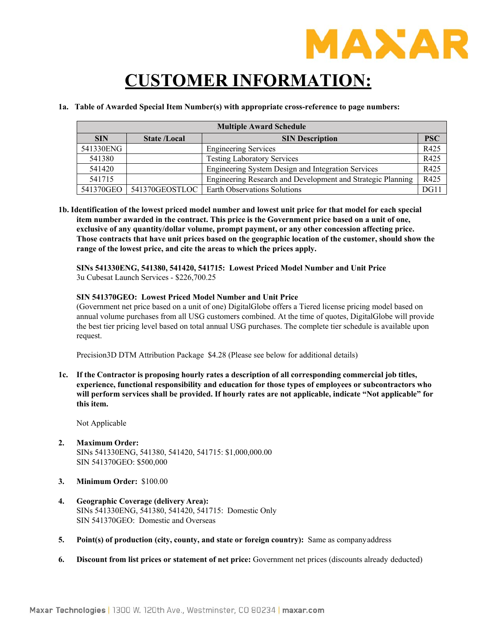

# **CUSTOMER INFORMATION:**

#### **1a. Table of Awarded Special Item Number(s) with appropriate cross-reference to page numbers:**

| <b>Multiple Award Schedule</b> |                     |                                                             |            |  |  |
|--------------------------------|---------------------|-------------------------------------------------------------|------------|--|--|
| <b>SIN</b>                     | <b>State /Local</b> | <b>SIN Description</b>                                      | <b>PSC</b> |  |  |
| 541330ENG                      |                     | <b>Engineering Services</b>                                 | R425       |  |  |
| 541380                         |                     | <b>Testing Laboratory Services</b>                          | R425       |  |  |
| 541420                         |                     | Engineering System Design and Integration Services          | R425       |  |  |
| 541715                         |                     | Engineering Research and Development and Strategic Planning | R425       |  |  |
| 541370GEO                      | 541370GEOSTLOC      | Earth Observations Solutions                                | DG11       |  |  |

**1b. Identification of the lowest priced model number and lowest unit price for that model for each special item number awarded in the contract. This price is the Government price based on a unit of one, exclusive of any quantity/dollar volume, prompt payment, or any other concession affecting price. Those contracts that have unit prices based on the geographic location of the customer, should show the range of the lowest price, and cite the areas to which the prices apply.** 

**SINs 541330ENG, 541380, 541420, 541715: Lowest Priced Model Number and Unit Price**  3u Cubesat Launch Services - \$226,700.25

#### **SIN 541370GEO: Lowest Priced Model Number and Unit Price**

(Government net price based on a unit of one) DigitalGlobe offers a Tiered license pricing model based on annual volume purchases from all USG customers combined. At the time of quotes, DigitalGlobe will provide the best tier pricing level based on total annual USG purchases. The complete tier schedule is available upon request.

Precision3D DTM Attribution Package \$4.28 (Please see below for additional details)

**1c. If the Contractor is proposing hourly rates a description of all corresponding commercial job titles, experience, functional responsibility and education for those types of employees or subcontractors who will perform services shall be provided. If hourly rates are not applicable, indicate "Not applicable" for this item.** 

Not Applicable

- **2. Maximum Order:**  SINs 541330ENG, 541380, 541420, 541715: \$1,000,000.00 SIN 541370GEO: \$500,000
- **3. Minimum Order:** \$100.00
- **4. Geographic Coverage (delivery Area):**  SINs 541330ENG, 541380, 541420, 541715: Domestic Only SIN 541370GEO: Domestic and Overseas
- **5. Point(s) of production (city, county, and state or foreign country):** Same as company address
- **6. Discount from list prices or statement of net price:** Government net prices (discounts already deducted)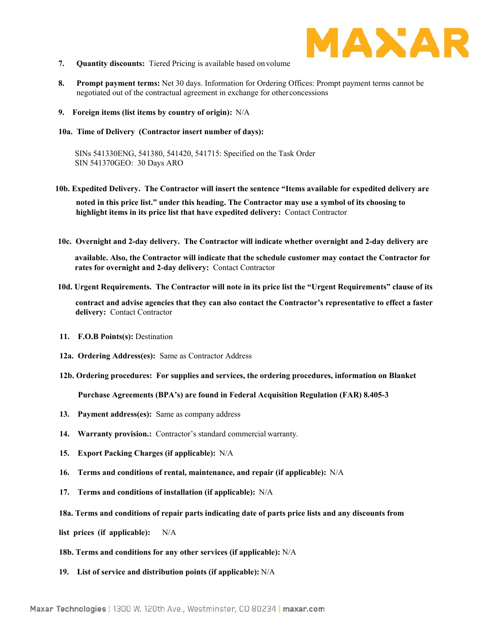

- **7. Quantity discounts:** Tiered Pricing is available based on volume
- **8. Prompt payment terms:** Net 30 days. Information for Ordering Offices: Prompt payment terms cannot be negotiated out of the contractual agreement in exchange for other concessions
- **9. Foreign items (list items by country of origin):** N/A
- **10a. Time of Delivery (Contractor insert number of days):**

SINs 541330ENG, 541380, 541420, 541715: Specified on the Task Order SIN 541370GEO: 30 Days ARO

- **10b. Expedited Delivery. The Contractor will insert the sentence "Items available for expedited delivery are noted in this price list." under this heading. The Contractor may use a symbol of its choosing to highlight items in its price list that have expedited delivery:** Contact Contractor
- **10c. Overnight and 2-day delivery. The Contractor will indicate whether overnight and 2-day delivery are**

**available. Also, the Contractor will indicate that the schedule customer may contact the Contractor for rates for overnight and 2-day delivery:** Contact Contractor

**10d. Urgent Requirements. The Contractor will note in its price list the "Urgent Requirements" clause of its** 

**contract and advise agencies that they can also contact the Contractor's representative to effect a faster delivery:** Contact Contractor

- **11. F.O.B Points(s):** Destination
- **12a. Ordering Address(es):** Same as Contractor Address
- **12b. Ordering procedures: For supplies and services, the ordering procedures, information on Blanket**

**Purchase Agreements (BPA's) are found in Federal Acquisition Regulation (FAR) 8.405-3** 

- **13. Payment address(es):** Same as company address
- **14. Warranty provision.:** Contractor's standard commercial warranty.
- **15. Export Packing Charges (if applicable):** N/A
- **16. Terms and conditions of rental, maintenance, and repair (if applicable):** N/A
- **17. Terms and conditions of installation (if applicable):** N/A
- **18a. Terms and conditions of repair parts indicating date of parts price lists and any discounts from**
- **list prices (if applicable):** N/A
- **18b. Terms and conditions for any other services (if applicable):** N/A
- **19. List of service and distribution points (if applicable):** N/A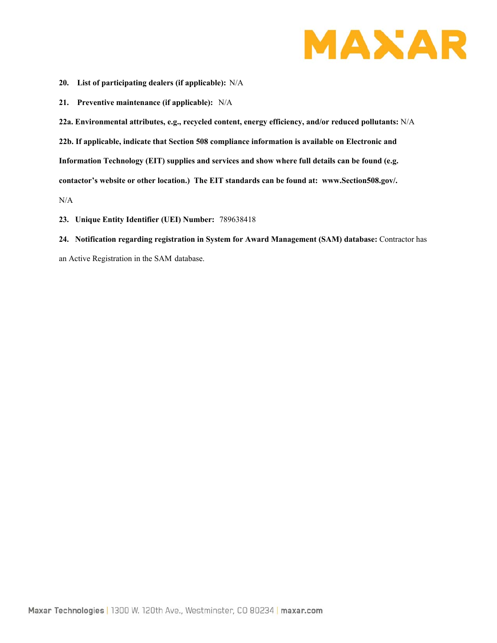

- **20. List of participating dealers (if applicable):** N/A
- **21. Preventive maintenance (if applicable):** N/A

**22a. Environmental attributes, e.g., recycled content, energy efficiency, and/or reduced pollutants:** N/A **22b. If applicable, indicate that Section 508 compliance information is available on Electronic and Information Technology (EIT) supplies and services and show where full details can be found (e.g. contactor's website or other location.) The EIT standards can be found at: www.Section508.gov/.**  N/A

- **23. Unique Entity Identifier (UEI) Number:** 789638418
- **24. Notification regarding registration in System for Award Management (SAM) database:** Contractor has

an Active Registration in the SAM database.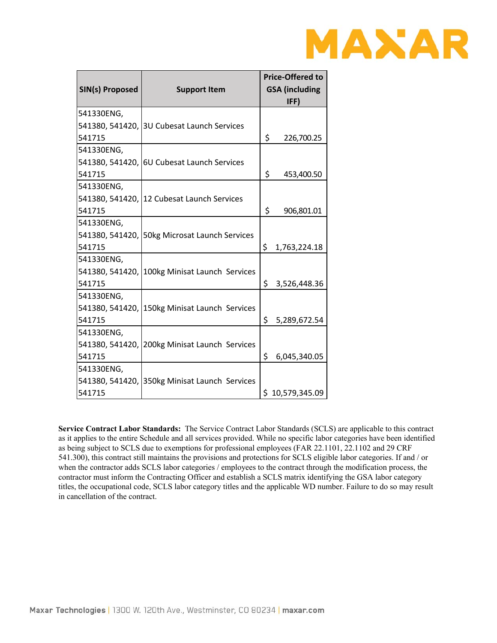

| SIN(s) Proposed | <b>Support Item</b>                           |    | <b>Price-Offered to</b><br><b>GSA</b> (including<br>IFF) |  |  |
|-----------------|-----------------------------------------------|----|----------------------------------------------------------|--|--|
| 541330ENG,      |                                               |    |                                                          |  |  |
|                 | 541380, 541420, 3U Cubesat Launch Services    |    |                                                          |  |  |
| 541715          |                                               | \$ | 226,700.25                                               |  |  |
| 541330ENG,      |                                               |    |                                                          |  |  |
|                 | 541380, 541420, 6U Cubesat Launch Services    |    |                                                          |  |  |
| 541715          |                                               | \$ | 453,400.50                                               |  |  |
| 541330ENG,      |                                               |    |                                                          |  |  |
|                 | 541380, 541420, 12 Cubesat Launch Services    |    |                                                          |  |  |
| 541715          |                                               | \$ | 906,801.01                                               |  |  |
| 541330ENG,      |                                               |    |                                                          |  |  |
|                 | 541380, 541420, 50kg Microsat Launch Services |    |                                                          |  |  |
| 541715          |                                               | \$ | 1,763,224.18                                             |  |  |
| 541330ENG,      |                                               |    |                                                          |  |  |
|                 | 541380, 541420, 100kg Minisat Launch Services |    |                                                          |  |  |
| 541715          |                                               | \$ | 3,526,448.36                                             |  |  |
| 541330ENG,      |                                               |    |                                                          |  |  |
|                 | 541380, 541420, 150kg Minisat Launch Services |    |                                                          |  |  |
| 541715          |                                               | \$ | 5,289,672.54                                             |  |  |
| 541330ENG,      |                                               |    |                                                          |  |  |
|                 | 541380, 541420, 200kg Minisat Launch Services |    |                                                          |  |  |
| 541715          |                                               | \$ | 6,045,340.05                                             |  |  |
| 541330ENG,      |                                               |    |                                                          |  |  |
|                 | 541380, 541420, 350kg Minisat Launch Services |    |                                                          |  |  |
| 541715          |                                               | \$ | 10,579,345.09                                            |  |  |

**Service Contract Labor Standards:** The Service Contract Labor Standards (SCLS) are applicable to this contract as it applies to the entire Schedule and all services provided. While no specific labor categories have been identified as being subject to SCLS due to exemptions for professional employees (FAR 22.1101, 22.1102 and 29 CRF 541.300), this contract still maintains the provisions and protections for SCLS eligible labor categories. If and / or when the contractor adds SCLS labor categories / employees to the contract through the modification process, the contractor must inform the Contracting Officer and establish a SCLS matrix identifying the GSA labor category titles, the occupational code, SCLS labor category titles and the applicable WD number. Failure to do so may result in cancellation of the contract.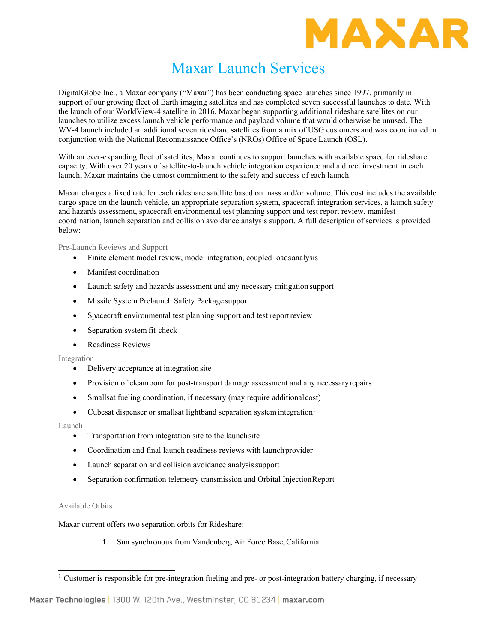

### Maxar Launch Services

DigitalGlobe Inc., a Maxar company ("Maxar") has been conducting space launches since 1997, primarily in support of our growing fleet of Earth imaging satellites and has completed seven successful launches to date. With the launch of our WorldView-4 satellite in 2016, Maxar began supporting additional rideshare satellites on our launches to utilize excess launch vehicle performance and payload volume that would otherwise be unused. The WV-4 launch included an additional seven rideshare satellites from a mix of USG customers and was coordinated in conjunction with the National Reconnaissance Office's (NROs) Office of Space Launch (OSL).

With an ever-expanding fleet of satellites, Maxar continues to support launches with available space for rideshare capacity. With over 20 years of satellite-to-launch vehicle integration experience and a direct investment in each launch, Maxar maintains the utmost commitment to the safety and success of each launch.

Maxar charges a fixed rate for each rideshare satellite based on mass and/or volume. This cost includes the available cargo space on the launch vehicle, an appropriate separation system, spacecraft integration services, a launch safety and hazards assessment, spacecraft environmental test planning support and test report review, manifest coordination, launch separation and collision avoidance analysis support. A full description of services is provided below:

Pre-Launch Reviews and Support

- Finite element model review, model integration, coupled loads analysis
- Manifest coordination
- Launch safety and hazards assessment and any necessary mitigation support
- Missile System Prelaunch Safety Package support
- Spacecraft environmental test planning support and test report review
- Separation system fit-check
- Readiness Reviews

Integration

- Delivery acceptance at integration site
- Provision of cleanroom for post-transport damage assessment and any necessary repairs
- Smallsat fueling coordination, if necessary (may require additional cost)
- Cubesat dispenser or smallsat lightband separation system integration<sup>1</sup>

Launch

- Transportation from integration site to the launch site
- Coordination and final launch readiness reviews with launch provider
- Launch separation and collision avoidance analysis support
- Separation confirmation telemetry transmission and Orbital Injection Report

Available Orbits

Maxar current offers two separation orbits for Rideshare:

1. Sun synchronous from Vandenberg Air Force Base, California.

<sup>&</sup>lt;sup>1</sup> Customer is responsible for pre-integration fueling and pre- or post-integration battery charging, if necessary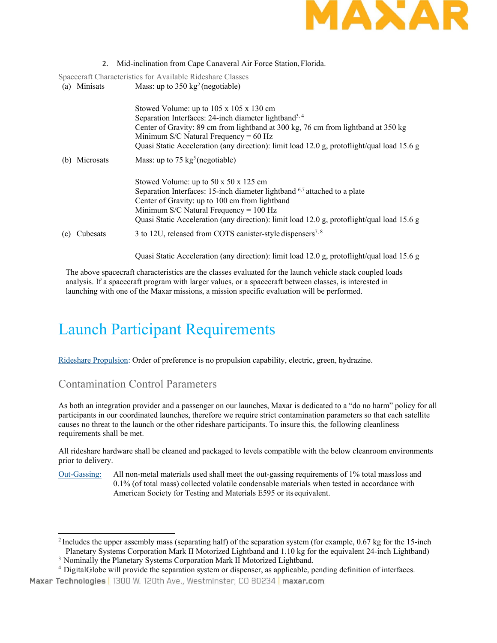

2. Mid-inclination from Cape Canaveral Air Force Station, Florida.

Spacecraft Characteristics for Available Rideshare Classes

(a) Minisats Mass: up to  $350 \text{ kg}^2$  (negotiable)

|     |           | Stowed Volume: up to 105 x 105 x 130 cm                                                    |  |  |  |
|-----|-----------|--------------------------------------------------------------------------------------------|--|--|--|
|     |           | Separation Interfaces: 24-inch diameter lightband <sup>3, 4</sup>                          |  |  |  |
|     |           | Center of Gravity: 89 cm from lightband at 300 kg, 76 cm from lightband at 350 kg          |  |  |  |
|     |           | Minimum S/C Natural Frequency = $60$ Hz                                                    |  |  |  |
|     |           | Quasi Static Acceleration (any direction): limit load 12.0 g, protoflight/qual load 15.6 g |  |  |  |
| (b) | Microsats | Mass: up to 75 $kg^5$ (negotiable)                                                         |  |  |  |
|     |           | Stowed Volume: up to $50 \times 50 \times 125$ cm                                          |  |  |  |
|     |           | Separation Interfaces: 15-inch diameter lightband <sup>6,7</sup> attached to a plate       |  |  |  |
|     |           | Center of Gravity: up to 100 cm from lightband                                             |  |  |  |
|     |           | Minimum S/C Natural Frequency = $100$ Hz                                                   |  |  |  |
|     |           | Quasi Static Acceleration (any direction): limit load 12.0 g, protoflight/qual load 15.6 g |  |  |  |
| (c) | Cubesats  | 3 to 12U, released from COTS canister-style dispensers <sup>7, 8</sup>                     |  |  |  |

Quasi Static Acceleration (any direction): limit load 12.0 g, protoflight/qual load 15.6 g

The above spacecraft characteristics are the classes evaluated for the launch vehicle stack coupled loads analysis. If a spacecraft program with larger values, or a spacecraft between classes, is interested in launching with one of the Maxar missions, a mission specific evaluation will be performed.

## Launch Participant Requirements

Rideshare Propulsion: Order of preference is no propulsion capability, electric, green, hydrazine.

#### Contamination Control Parameters

As both an integration provider and a passenger on our launches, Maxar is dedicated to a "do no harm" policy for all participants in our coordinated launches, therefore we require strict contamination parameters so that each satellite causes no threat to the launch or the other rideshare participants. To insure this, the following cleanliness requirements shall be met.

All rideshare hardware shall be cleaned and packaged to levels compatible with the below cleanroom environments prior to delivery.

Out-Gassing: All non-metal materials used shall meet the out-gassing requirements of 1% total mass loss and 0.1% (of total mass) collected volatile condensable materials when tested in accordance with American Society for Testing and Materials E595 or its equivalent.

<sup>&</sup>lt;sup>2</sup> Includes the upper assembly mass (separating half) of the separation system (for example, 0.67 kg for the 15-inch Planetary Systems Corporation Mark II Motorized Lightband and 1.10 kg for the equivalent 24-inch Lightband)

<sup>&</sup>lt;sup>3</sup> Nominally the Planetary Systems Corporation Mark II Motorized Lightband.<br><sup>4</sup> DigitalGlobe will provide the separation system or dispenser, as applicable, pending definition of interfaces. Maxar Technologies | 1300 W. 120th Ave., Westminster, CO 80234 | maxar.com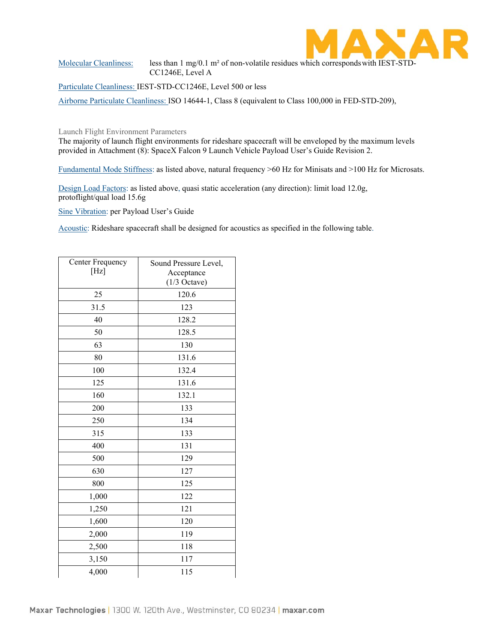

Molecular Cleanliness: less than 1 mg/0.1 m<sup>2</sup> of non-volatile residues which corresponds with IEST-STD-CC1246E, Level A

Particulate Cleanliness: IEST-STD-CC1246E, Level 500 or less

Airborne Particulate Cleanliness: ISO 14644-1, Class 8 (equivalent to Class 100,000 in FED-STD-209),

Launch Flight Environment Parameters

The majority of launch flight environments for rideshare spacecraft will be enveloped by the maximum levels provided in Attachment (8): SpaceX Falcon 9 Launch Vehicle Payload User's Guide Revision 2.

Fundamental Mode Stiffness: as listed above, natural frequency >60 Hz for Minisats and >100 Hz for Microsats.

Design Load Factors: as listed above, quasi static acceleration (any direction): limit load 12.0g, protoflight/qual load 15.6g

Sine Vibration: per Payload User's Guide

Acoustic: Rideshare spacecraft shall be designed for acoustics as specified in the following table.

| Center Frequency<br>[Hz] | Sound Pressure Level,<br>Acceptance |  |  |
|--------------------------|-------------------------------------|--|--|
|                          | $(1/3$ Octave)                      |  |  |
| 25                       | 120.6                               |  |  |
| 31.5                     | 123                                 |  |  |
| 40                       | 128.2                               |  |  |
| 50                       | 128.5                               |  |  |
| 63                       | 130                                 |  |  |
| 80                       | 131.6                               |  |  |
| 100                      | 132.4                               |  |  |
| 125                      | 131.6                               |  |  |
| 160                      | 132.1                               |  |  |
| 200                      | 133                                 |  |  |
| 250                      | 134                                 |  |  |
| 315                      | 133                                 |  |  |
| 400                      | 131                                 |  |  |
| 500                      | 129                                 |  |  |
| 630                      | 127                                 |  |  |
| 800                      | 125                                 |  |  |
| 1,000                    | 122                                 |  |  |
| 1,250                    | 121                                 |  |  |
| 1,600                    | 120                                 |  |  |
| 2,000<br>119             |                                     |  |  |
| 2,500<br>118             |                                     |  |  |
| 3,150<br>117             |                                     |  |  |
| 4,000                    | 115                                 |  |  |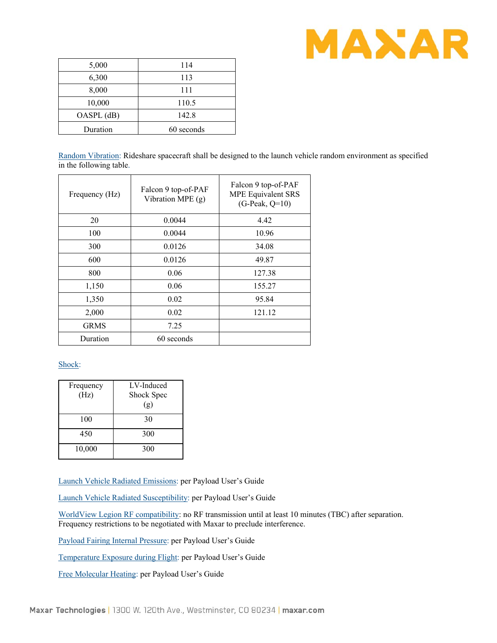

| 5,000      | 114        |
|------------|------------|
| 6,300      | 113        |
| 8,000      | 111        |
| 10,000     | 110.5      |
| OASPL (dB) | 142.8      |
| Duration   | 60 seconds |

Random Vibration: Rideshare spacecraft shall be designed to the launch vehicle random environment as specified in the following table.

| Frequency (Hz) | Falcon 9 top-of-PAF<br>Vibration MPE $(g)$ | Falcon 9 top-of-PAF<br><b>MPE Equivalent SRS</b><br>$(G-Peak, Q=10)$ |  |  |
|----------------|--------------------------------------------|----------------------------------------------------------------------|--|--|
| 20             | 0.0044                                     | 4.42                                                                 |  |  |
| 100            | 0.0044                                     | 10.96                                                                |  |  |
| 300            | 0.0126                                     | 34.08                                                                |  |  |
| 600            | 0.0126                                     | 49.87                                                                |  |  |
| 800            | 0.06                                       | 127.38                                                               |  |  |
| 1,150          | 0.06                                       | 155.27                                                               |  |  |
| 1,350          | 0.02                                       | 95.84                                                                |  |  |
| 2,000          | 0.02                                       | 121.12                                                               |  |  |
| <b>GRMS</b>    | 7.25                                       |                                                                      |  |  |
| Duration       | 60 seconds                                 |                                                                      |  |  |

#### Shock:

| Frequency<br>(Hz) | LV-Induced<br>Shock Spec |  |  |
|-------------------|--------------------------|--|--|
|                   | (g)                      |  |  |
| 100               | 30                       |  |  |
| 450               | 300                      |  |  |
| 10,000            | 300                      |  |  |

Launch Vehicle Radiated Emissions: per Payload User's Guide

Launch Vehicle Radiated Susceptibility: per Payload User's Guide

WorldView Legion RF compatibility: no RF transmission until at least 10 minutes (TBC) after separation. Frequency restrictions to be negotiated with Maxar to preclude interference.

Payload Fairing Internal Pressure: per Payload User's Guide

Temperature Exposure during Flight: per Payload User's Guide

Free Molecular Heating: per Payload User's Guide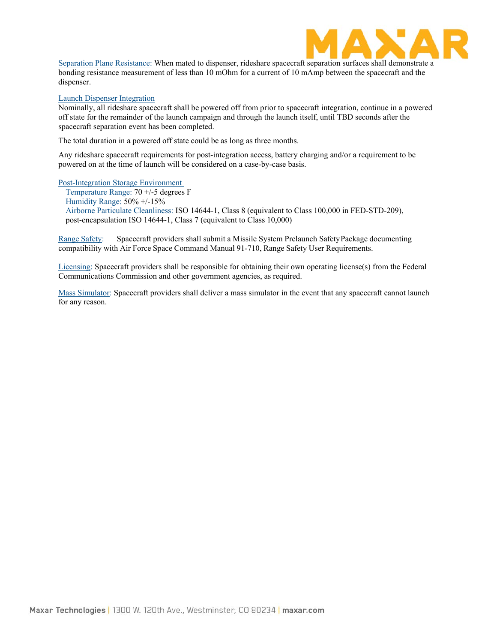

Separation Plane Resistance: When mated to dispenser, rideshare spacecraft separation surfaces shall demonstrate a bonding resistance measurement of less than 10 mOhm for a current of 10 mAmp between the spacecraft and the dispenser.

#### Launch Dispenser Integration

Nominally, all rideshare spacecraft shall be powered off from prior to spacecraft integration, continue in a powered off state for the remainder of the launch campaign and through the launch itself, until TBD seconds after the spacecraft separation event has been completed.

The total duration in a powered off state could be as long as three months.

Any rideshare spacecraft requirements for post-integration access, battery charging and/or a requirement to be powered on at the time of launch will be considered on a case-by-case basis.

Post-Integration Storage Environment

Temperature Range: 70 +/-5 degrees F Humidity Range: 50% +/-15% Airborne Particulate Cleanliness: ISO 14644-1, Class 8 (equivalent to Class 100,000 in FED-STD-209), post-encapsulation ISO 14644-1, Class 7 (equivalent to Class 10,000)

Range Safety: Spacecraft providers shall submit a Missile System Prelaunch Safety Package documenting compatibility with Air Force Space Command Manual 91-710, Range Safety User Requirements.

Licensing: Spacecraft providers shall be responsible for obtaining their own operating license(s) from the Federal Communications Commission and other government agencies, as required.

Mass Simulator: Spacecraft providers shall deliver a mass simulator in the event that any spacecraft cannot launch for any reason.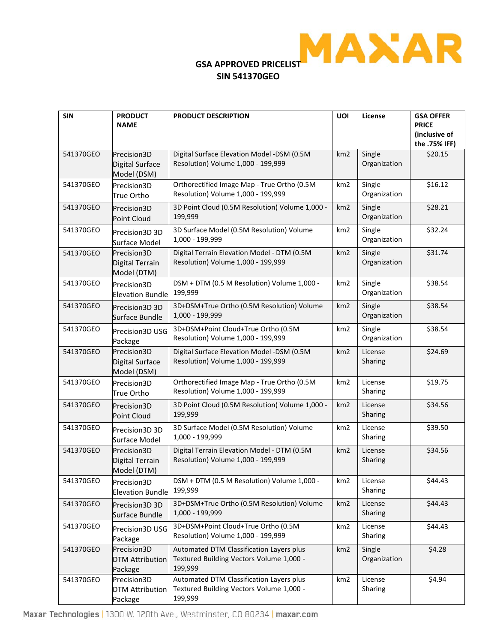

# **SIN 541370GEO**

| <b>SIN</b> | <b>PRODUCT</b><br><b>NAME</b>                    | <b>PRODUCT DESCRIPTION</b>                                                                      | UOI             | License                | <b>GSA OFFER</b><br><b>PRICE</b><br>(inclusive of<br>the .75% IFF) |
|------------|--------------------------------------------------|-------------------------------------------------------------------------------------------------|-----------------|------------------------|--------------------------------------------------------------------|
| 541370GEO  | Precision3D<br>Digital Surface<br>Model (DSM)    | Digital Surface Elevation Model -DSM (0.5M<br>Resolution) Volume 1,000 - 199,999                | km <sub>2</sub> | Single<br>Organization | \$20.15                                                            |
| 541370GEO  | Precision3D<br>True Ortho                        | Orthorectified Image Map - True Ortho (0.5M<br>Resolution) Volume 1,000 - 199,999               | km <sub>2</sub> | Single<br>Organization | \$16.12                                                            |
| 541370GEO  | Precision3D<br>Point Cloud                       | 3D Point Cloud (0.5M Resolution) Volume 1,000 -<br>199,999                                      | km <sub>2</sub> | Single<br>Organization | \$28.21                                                            |
| 541370GEO  | Precision3D 3D<br>Surface Model                  | 3D Surface Model (0.5M Resolution) Volume<br>1,000 - 199,999                                    | km <sub>2</sub> | Single<br>Organization | \$32.24                                                            |
| 541370GEO  | Precision3D<br>Digital Terrain<br>Model (DTM)    | Digital Terrain Elevation Model - DTM (0.5M<br>Resolution) Volume 1,000 - 199,999               | km2             | Single<br>Organization | \$31.74                                                            |
| 541370GEO  | Precision3D<br><b>Elevation Bundle</b>           | DSM + DTM (0.5 M Resolution) Volume 1,000 -<br>199,999                                          | km2             | Single<br>Organization | \$38.54                                                            |
| 541370GEO  | Precision 3D 3D<br>Surface Bundle                | 3D+DSM+True Ortho (0.5M Resolution) Volume<br>1,000 - 199,999                                   | km <sub>2</sub> | Single<br>Organization | \$38.54                                                            |
| 541370GEO  | Precision3D USG<br>Package                       | 3D+DSM+Point Cloud+True Ortho (0.5M<br>Resolution) Volume 1,000 - 199,999                       | km <sub>2</sub> | Single<br>Organization | \$38.54                                                            |
| 541370GEO  | Precision3D<br>Digital Surface<br>Model (DSM)    | Digital Surface Elevation Model -DSM (0.5M<br>Resolution) Volume 1,000 - 199,999                | km <sub>2</sub> | License<br>Sharing     | \$24.69                                                            |
| 541370GEO  | Precision3D<br>True Ortho                        | Orthorectified Image Map - True Ortho (0.5M<br>Resolution) Volume 1,000 - 199,999               | km2             | License<br>Sharing     | \$19.75                                                            |
| 541370GEO  | Precision3D<br><b>Point Cloud</b>                | 3D Point Cloud (0.5M Resolution) Volume 1,000 -<br>199,999                                      | km <sub>2</sub> | License<br>Sharing     | \$34.56                                                            |
| 541370GEO  | Precision3D 3D<br>Surface Model                  | 3D Surface Model (0.5M Resolution) Volume<br>1,000 - 199,999                                    | km <sub>2</sub> | License<br>Sharing     | \$39.50                                                            |
| 541370GEO  | Precision3D<br>Digital Terrain<br>Model (DTM)    | Digital Terrain Elevation Model - DTM (0.5M<br>Resolution) Volume 1,000 - 199,999               | km <sub>2</sub> | License<br>Sharing     | \$34.56                                                            |
| 541370GEO  | Precision3D<br><b>Elevation Bundle</b>           | DSM + DTM (0.5 M Resolution) Volume 1,000 -<br>199,999                                          | km <sub>2</sub> | License<br>Sharing     | \$44.43                                                            |
| 541370GEO  | Precision3D 3D<br>Surface Bundle                 | 3D+DSM+True Ortho (0.5M Resolution) Volume<br>1,000 - 199,999                                   | km <sub>2</sub> | License<br>Sharing     | \$44.43                                                            |
| 541370GEO  | Precision3D USG<br>Package                       | 3D+DSM+Point Cloud+True Ortho (0.5M<br>Resolution) Volume 1,000 - 199,999                       | km2             | License<br>Sharing     | \$44.43                                                            |
| 541370GEO  | Precision3D<br><b>DTM Attribution</b><br>Package | Automated DTM Classification Layers plus<br>Textured Building Vectors Volume 1,000 -<br>199,999 | km <sub>2</sub> | Single<br>Organization | \$4.28                                                             |
| 541370GEO  | Precision3D<br><b>DTM Attribution</b><br>Package | Automated DTM Classification Layers plus<br>Textured Building Vectors Volume 1,000 -<br>199,999 | km <sub>2</sub> | License<br>Sharing     | \$4.94                                                             |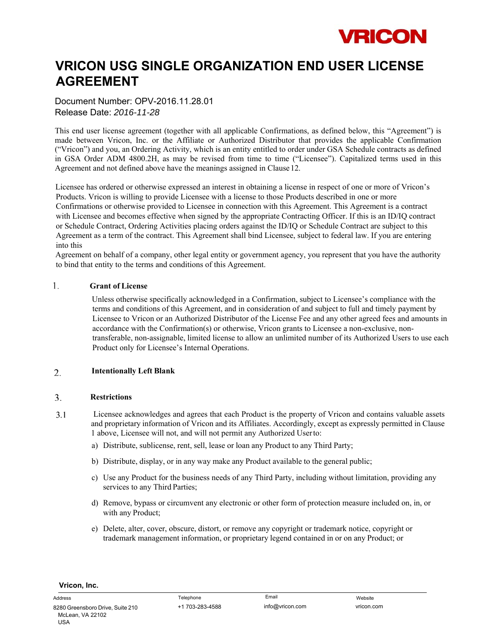# **VRICON**

### **VRICON USG SINGLE ORGANIZATION END USER LICENSE AGREEMENT**

Document Number: OPV-2016.11.28.01 Release Date: *2016-11-28* 

This end user license agreement (together with all applicable Confirmations, as defined below, this "Agreement") is made between Vricon, Inc. or the Affiliate or Authorized Distributor that provides the applicable Confirmation ("Vricon") and you, an Ordering Activity, which is an entity entitled to order under GSA Schedule contracts as defined in GSA Order ADM 4800.2H, as may be revised from time to time ("Licensee"). Capitalized terms used in this Agreement and not defined above have the meanings assigned in Clause 12.

Licensee has ordered or otherwise expressed an interest in obtaining a license in respect of one or more of Vricon's Products. Vricon is willing to provide Licensee with a license to those Products described in one or more Confirmations or otherwise provided to Licensee in connection with this Agreement. This Agreement is a contract with Licensee and becomes effective when signed by the appropriate Contracting Officer. If this is an ID/IQ contract or Schedule Contract, Ordering Activities placing orders against the ID/IQ or Schedule Contract are subject to this Agreement as a term of the contract. This Agreement shall bind Licensee, subject to federal law. If you are entering into this

Agreement on behalf of a company, other legal entity or government agency, you represent that you have the authority to bind that entity to the terms and conditions of this Agreement.

#### **Grant of License**

Unless otherwise specifically acknowledged in a Confirmation, subject to Licensee's compliance with the terms and conditions of this Agreement, and in consideration of and subject to full and timely payment by Licensee to Vricon or an Authorized Distributor of the License Fee and any other agreed fees and amounts in accordance with the Confirmation(s) or otherwise, Vricon grants to Licensee a non-exclusive, nontransferable, non-assignable, limited license to allow an unlimited number of its Authorized Users to use each Product only for Licensee's Internal Operations.

#### 2. **Intentionally Left Blank**

#### **Restrictions**

- $3.1$ Licensee acknowledges and agrees that each Product is the property of Vricon and contains valuable assets and proprietary information of Vricon and its Affiliates. Accordingly, except as expressly permitted in Clause 1 above, Licensee will not, and will not permit any Authorized User to:
	- a) Distribute, sublicense, rent, sell, lease or loan any Product to any Third Party;
	- b) Distribute, display, or in any way make any Product available to the general public;
	- c) Use any Product for the business needs of any Third Party, including without limitation, providing any services to any Third Parties;
	- d) Remove, bypass or circumvent any electronic or other form of protection measure included on, in, or with any Product;
	- e) Delete, alter, cover, obscure, distort, or remove any copyright or trademark notice, copyright or trademark management information, or proprietary legend contained in or on any Product; or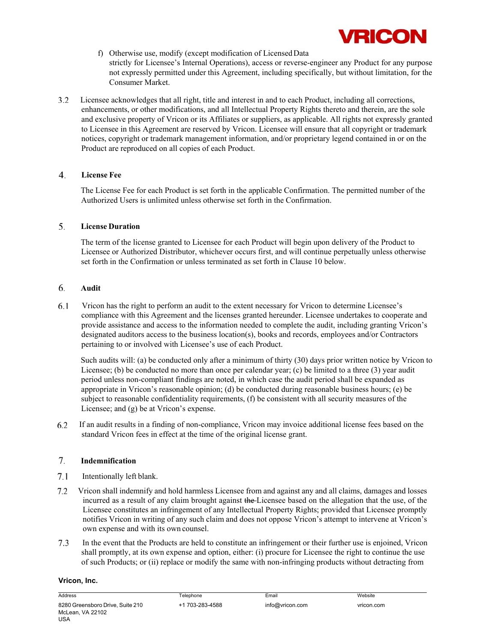

- f) Otherwise use, modify (except modification of Licensed Data strictly for Licensee's Internal Operations), access or reverse-engineer any Product for any purpose not expressly permitted under this Agreement, including specifically, but without limitation, for the Consumer Market.
- $3.2$ Licensee acknowledges that all right, title and interest in and to each Product, including all corrections, enhancements, or other modifications, and all Intellectual Property Rights thereto and therein, are the sole and exclusive property of Vricon or its Affiliates or suppliers, as applicable. All rights not expressly granted to Licensee in this Agreement are reserved by Vricon. Licensee will ensure that all copyright or trademark notices, copyright or trademark management information, and/or proprietary legend contained in or on the Product are reproduced on all copies of each Product.

#### **License Fee**

The License Fee for each Product is set forth in the applicable Confirmation. The permitted number of the Authorized Users is unlimited unless otherwise set forth in the Confirmation.

#### **License Duration**

The term of the license granted to Licensee for each Product will begin upon delivery of the Product to Licensee or Authorized Distributor, whichever occurs first, and will continue perpetually unless otherwise set forth in the Confirmation or unless terminated as set forth in Clause 10 below.

#### **Audit**

6.1 Vricon has the right to perform an audit to the extent necessary for Vricon to determine Licensee's compliance with this Agreement and the licenses granted hereunder. Licensee undertakes to cooperate and provide assistance and access to the information needed to complete the audit, including granting Vricon's designated auditors access to the business location(s), books and records, employees and/or Contractors pertaining to or involved with Licensee's use of each Product.

Such audits will: (a) be conducted only after a minimum of thirty (30) days prior written notice by Vricon to Licensee; (b) be conducted no more than once per calendar year; (c) be limited to a three (3) year audit period unless non-compliant findings are noted, in which case the audit period shall be expanded as appropriate in Vricon's reasonable opinion; (d) be conducted during reasonable business hours; (e) be subject to reasonable confidentiality requirements, (f) be consistent with all security measures of the Licensee; and (g) be at Vricon's expense.

6.2 If an audit results in a finding of non-compliance, Vricon may invoice additional license fees based on the standard Vricon fees in effect at the time of the original license grant.

#### **Indemnification**

- 7.1 Intentionally left blank.
- $7.2$ Vricon shall indemnify and hold harmless Licensee from and against any and all claims, damages and losses incurred as a result of any claim brought against the Licensee based on the allegation that the use, of the Licensee constitutes an infringement of any Intellectual Property Rights; provided that Licensee promptly notifies Vricon in writing of any such claim and does not oppose Vricon's attempt to intervene at Vricon's own expense and with its own counsel.
- $7.3$ In the event that the Products are held to constitute an infringement or their further use is enjoined, Vricon shall promptly, at its own expense and option, either: (i) procure for Licensee the right to continue the use of such Products; or (ii) replace or modify the same with non-infringing products without detracting from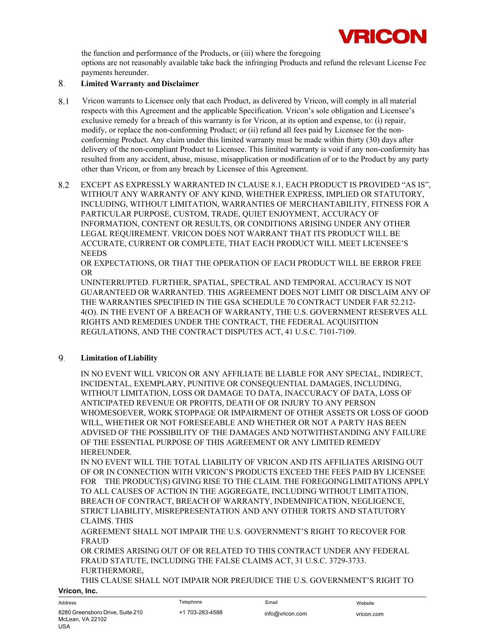

the function and performance of the Products, or (iii) where the foregoing options are not reasonably available take back the infringing Products and refund the relevant License Fee payments hereunder.

#### **Limited Warranty and Disclaimer**

- 8.1 Vricon warrants to Licensee only that each Product, as delivered by Vricon, will comply in all material respects with this Agreement and the applicable Specification. Vricon's sole obligation and Licensee's exclusive remedy for a breach of this warranty is for Vricon, at its option and expense, to: (i) repair, modify, or replace the non-conforming Product; or (ii) refund all fees paid by Licensee for the nonconforming Product. Any claim under this limited warranty must be made within thirty (30) days after delivery of the non-compliant Product to Licensee. This limited warranty is void if any non-conformity has resulted from any accident, abuse, misuse, misapplication or modification of or to the Product by any party other than Vricon, or from any breach by Licensee of this Agreement.
- 8.2 EXCEPT AS EXPRESSLY WARRANTED IN CLAUSE 8.1, EACH PRODUCT IS PROVIDED "AS IS", WITHOUT ANY WARRANTY OF ANY KIND, WHETHER EXPRESS, IMPLIED OR STATUTORY, INCLUDING, WITHOUT LIMITATION, WARRANTIES OF MERCHANTABILITY, FITNESS FOR A PARTICULAR PURPOSE, CUSTOM, TRADE, QUIET ENJOYMENT, ACCURACY OF INFORMATION, CONTENT OR RESULTS, OR CONDITIONS ARISING UNDER ANY OTHER LEGAL REQUIREMENT. VRICON DOES NOT WARRANT THAT ITS PRODUCT WILL BE ACCURATE, CURRENT OR COMPLETE, THAT EACH PRODUCT WILL MEET LICENSEE'S **NEEDS**

OR EXPECTATIONS, OR THAT THE OPERATION OF EACH PRODUCT WILL BE ERROR FREE OR

UNINTERRUPTED. FURTHER, SPATIAL, SPECTRAL AND TEMPORAL ACCURACY IS NOT GUARANTEED OR WARRANTED. THIS AGREEMENT DOES NOT LIMIT OR DISCLAIM ANY OF THE WARRANTIES SPECIFIED IN THE GSA SCHEDULE 70 CONTRACT UNDER FAR 52.212- 4(O). IN THE EVENT OF A BREACH OF WARRANTY, THE U.S. GOVERNMENT RESERVES ALL RIGHTS AND REMEDIES UNDER THE CONTRACT, THE FEDERAL ACQUISITION REGULATIONS, AND THE CONTRACT DISPUTES ACT, 41 U.S.C. 7101-7109.

#### **Limitation of Liability**

IN NO EVENT WILL VRICON OR ANY AFFILIATE BE LIABLE FOR ANY SPECIAL, INDIRECT, INCIDENTAL, EXEMPLARY, PUNITIVE OR CONSEQUENTIAL DAMAGES, INCLUDING, WITHOUT LIMITATION, LOSS OR DAMAGE TO DATA, INACCURACY OF DATA, LOSS OF ANTICIPATED REVENUE OR PROFITS, DEATH OF OR INJURY TO ANY PERSON WHOMESOEVER, WORK STOPPAGE OR IMPAIRMENT OF OTHER ASSETS OR LOSS OF GOOD WILL, WHETHER OR NOT FORESEEABLE AND WHETHER OR NOT A PARTY HAS BEEN ADVISED OF THE POSSIBILITY OF THE DAMAGES AND NOTWITHSTANDING ANY FAILURE OF THE ESSENTIAL PURPOSE OF THIS AGREEMENT OR ANY LIMITED REMEDY HEREUNDER.

IN NO EVENT WILL THE TOTAL LIABILITY OF VRICON AND ITS AFFILIATES ARISING OUT OF OR IN CONNECTION WITH VRICON'S PRODUCTS EXCEED THE FEES PAID BY LICENSEE FOR THE PRODUCT(S) GIVING RISE TO THE CLAIM. THE FOREGOING LIMITATIONS APPLY TO ALL CAUSES OF ACTION IN THE AGGREGATE, INCLUDING WITHOUT LIMITATION, BREACH OF CONTRACT, BREACH OF WARRANTY, INDEMNIFICATION, NEGLIGENCE, STRICT LIABILITY, MISREPRESENTATION AND ANY OTHER TORTS AND STATUTORY CLAIMS. THIS

AGREEMENT SHALL NOT IMPAIR THE U.S. GOVERNMENT'S RIGHT TO RECOVER FOR FRAUD

OR CRIMES ARISING OUT OF OR RELATED TO THIS CONTRACT UNDER ANY FEDERAL FRAUD STATUTE, INCLUDING THE FALSE CLAIMS ACT, 31 U.S.C. 3729-3733. FURTHERMORE,

**Vricon, Inc.**  THIS CLAUSE SHALL NOT IMPAIR NOR PREJUDICE THE U.S. GOVERNMENT'S RIGHT TO

#### Address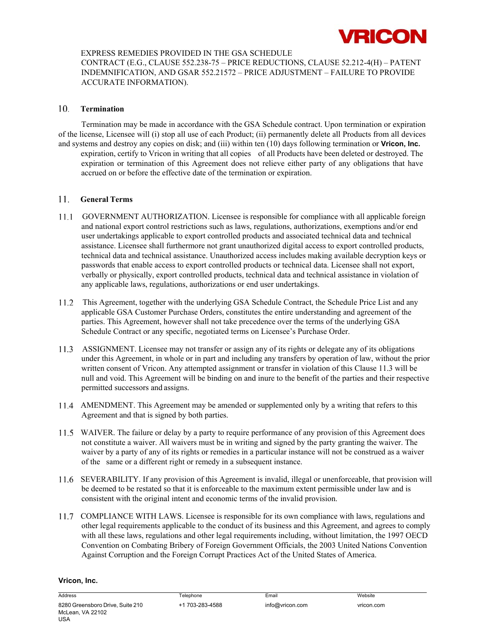

#### EXPRESS REMEDIES PROVIDED IN THE GSA SCHEDULE

CONTRACT (E.G., CLAUSE 552.238-75 – PRICE REDUCTIONS, CLAUSE 52.212-4(H) – PATENT INDEMNIFICATION, AND GSAR 552.21572 – PRICE ADJUSTMENT – FAILURE TO PROVIDE ACCURATE INFORMATION).

#### **Termination**

Termination may be made in accordance with the GSA Schedule contract. Upon termination or expiration of the license, Licensee will (i) stop all use of each Product; (ii) permanently delete all Products from all devices and systems and destroy any copies on disk; and (iii) within ten (10) days following termination or **Vricon, Inc.**  expiration, certify to Vricon in writing that all copies of all Products have been deleted or destroyed. The expiration or termination of this Agreement does not relieve either party of any obligations that have accrued on or before the effective date of the termination or expiration.

#### **General Terms**

- $11.1$ GOVERNMENT AUTHORIZATION. Licensee is responsible for compliance with all applicable foreign and national export control restrictions such as laws, regulations, authorizations, exemptions and/or end user undertakings applicable to export controlled products and associated technical data and technical assistance. Licensee shall furthermore not grant unauthorized digital access to export controlled products, technical data and technical assistance. Unauthorized access includes making available decryption keys or passwords that enable access to export controlled products or technical data. Licensee shall not export, verbally or physically, export controlled products, technical data and technical assistance in violation of any applicable laws, regulations, authorizations or end user undertakings.
- This Agreement, together with the underlying GSA Schedule Contract, the Schedule Price List and any applicable GSA Customer Purchase Orders, constitutes the entire understanding and agreement of the parties. This Agreement, however shall not take precedence over the terms of the underlying GSA Schedule Contract or any specific, negotiated terms on Licensee's Purchase Order.
- ASSIGNMENT. Licensee may not transfer or assign any of its rights or delegate any of its obligations under this Agreement, in whole or in part and including any transfers by operation of law, without the prior written consent of Vricon. Any attempted assignment or transfer in violation of this Clause 11.3 will be null and void. This Agreement will be binding on and inure to the benefit of the parties and their respective permitted successors and assigns.
- AMENDMENT. This Agreement may be amended or supplemented only by a writing that refers to this Agreement and that is signed by both parties.
- WAIVER. The failure or delay by a party to require performance of any provision of this Agreement does not constitute a waiver. All waivers must be in writing and signed by the party granting the waiver. The waiver by a party of any of its rights or remedies in a particular instance will not be construed as a waiver of the same or a different right or remedy in a subsequent instance.
- SEVERABILITY. If any provision of this Agreement is invalid, illegal or unenforceable, that provision will be deemed to be restated so that it is enforceable to the maximum extent permissible under law and is consistent with the original intent and economic terms of the invalid provision.
- COMPLIANCE WITH LAWS. Licensee is responsible for its own compliance with laws, regulations and other legal requirements applicable to the conduct of its business and this Agreement, and agrees to comply with all these laws, regulations and other legal requirements including, without limitation, the 1997 OECD Convention on Combating Bribery of Foreign Government Officials, the 2003 United Nations Convention Against Corruption and the Foreign Corrupt Practices Act of the United States of America.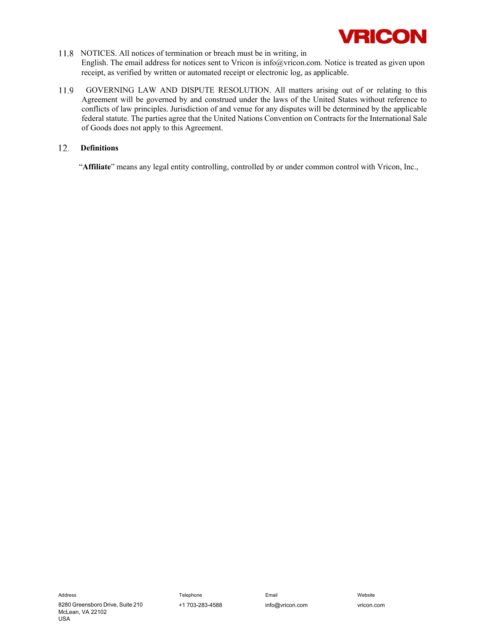

- 11.8 NOTICES. All notices of termination or breach must be in writing, in English. The email address for notices sent to Vricon is info@vricon.com. Notice is treated as given upon receipt, as verified by written or automated receipt or electronic log, as applicable.
- GOVERNING LAW AND DISPUTE RESOLUTION. All matters arising out of or relating to this 11.9 Agreement will be governed by and construed under the laws of the United States without reference to conflicts of law principles. Jurisdiction of and venue for any disputes will be determined by the applicable federal statute. The parties agree that the United Nations Convention on Contracts for the International Sale of Goods does not apply to this Agreement.

#### **Definitions**

"**Affiliate**" means any legal entity controlling, controlled by or under common control with Vricon, Inc.,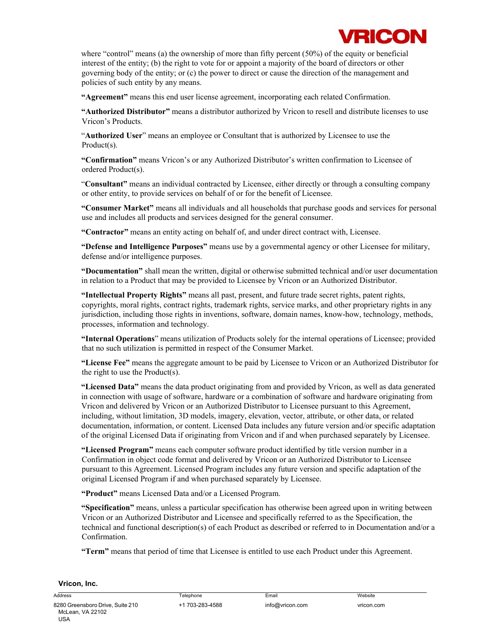where "control" means (a) the ownership of more than fifty percent (50%) of the equity or beneficial interest of the entity; (b) the right to vote for or appoint a majority of the board of directors or other governing body of the entity; or (c) the power to direct or cause the direction of the management and policies of such entity by any means.

**"Agreement"** means this end user license agreement, incorporating each related Confirmation.

**"Authorized Distributor"** means a distributor authorized by Vricon to resell and distribute licenses to use Vricon's Products.

"**Authorized User**" means an employee or Consultant that is authorized by Licensee to use the Product(s).

**"Confirmation"** means Vricon's or any Authorized Distributor's written confirmation to Licensee of ordered Product(s).

"**Consultant"** means an individual contracted by Licensee, either directly or through a consulting company or other entity, to provide services on behalf of or for the benefit of Licensee.

**"Consumer Market"** means all individuals and all households that purchase goods and services for personal use and includes all products and services designed for the general consumer.

**"Contractor"** means an entity acting on behalf of, and under direct contract with, Licensee.

**"Defense and Intelligence Purposes"** means use by a governmental agency or other Licensee for military, defense and/or intelligence purposes.

**"Documentation"** shall mean the written, digital or otherwise submitted technical and/or user documentation in relation to a Product that may be provided to Licensee by Vricon or an Authorized Distributor.

**"Intellectual Property Rights"** means all past, present, and future trade secret rights, patent rights, copyrights, moral rights, contract rights, trademark rights, service marks, and other proprietary rights in any jurisdiction, including those rights in inventions, software, domain names, know-how, technology, methods, processes, information and technology.

**"Internal Operations**" means utilization of Products solely for the internal operations of Licensee; provided that no such utilization is permitted in respect of the Consumer Market.

**"License Fee"** means the aggregate amount to be paid by Licensee to Vricon or an Authorized Distributor for the right to use the Product(s).

**"Licensed Data"** means the data product originating from and provided by Vricon, as well as data generated in connection with usage of software, hardware or a combination of software and hardware originating from Vricon and delivered by Vricon or an Authorized Distributor to Licensee pursuant to this Agreement, including, without limitation, 3D models, imagery, elevation, vector, attribute, or other data, or related documentation, information, or content. Licensed Data includes any future version and/or specific adaptation of the original Licensed Data if originating from Vricon and if and when purchased separately by Licensee.

**"Licensed Program"** means each computer software product identified by title version number in a Confirmation in object code format and delivered by Vricon or an Authorized Distributor to Licensee pursuant to this Agreement. Licensed Program includes any future version and specific adaptation of the original Licensed Program if and when purchased separately by Licensee.

**"Product"** means Licensed Data and/or a Licensed Program.

**"Specification"** means, unless a particular specification has otherwise been agreed upon in writing between Vricon or an Authorized Distributor and Licensee and specifically referred to as the Specification, the technical and functional description(s) of each Product as described or referred to in Documentation and/or a Confirmation.

**"Term"** means that period of time that Licensee is entitled to use each Product under this Agreement.

#### **Vricon, Inc.**

Address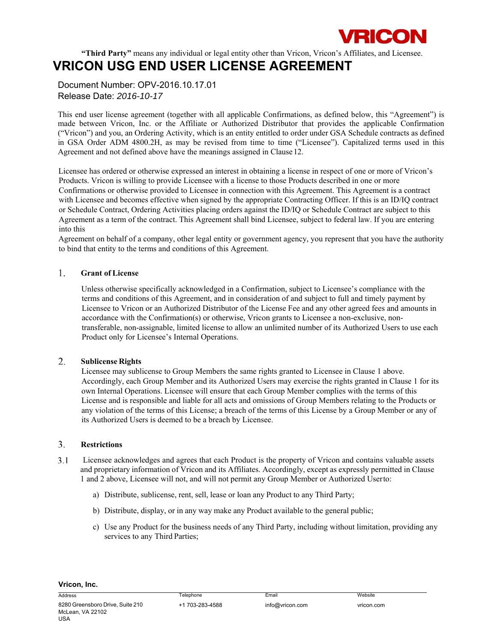

**"Third Party"** means any individual or legal entity other than Vricon, Vricon's Affiliates, and Licensee.

### **VRICON USG END USER LICENSE AGREEMENT**

Document Number: OPV-2016.10.17.01 Release Date: *2016-10-17* 

This end user license agreement (together with all applicable Confirmations, as defined below, this "Agreement") is made between Vricon, Inc. or the Affiliate or Authorized Distributor that provides the applicable Confirmation ("Vricon") and you, an Ordering Activity, which is an entity entitled to order under GSA Schedule contracts as defined in GSA Order ADM 4800.2H, as may be revised from time to time ("Licensee"). Capitalized terms used in this Agreement and not defined above have the meanings assigned in Clause 12.

Licensee has ordered or otherwise expressed an interest in obtaining a license in respect of one or more of Vricon's Products. Vricon is willing to provide Licensee with a license to those Products described in one or more Confirmations or otherwise provided to Licensee in connection with this Agreement. This Agreement is a contract with Licensee and becomes effective when signed by the appropriate Contracting Officer. If this is an ID/IQ contract or Schedule Contract, Ordering Activities placing orders against the ID/IQ or Schedule Contract are subject to this Agreement as a term of the contract. This Agreement shall bind Licensee, subject to federal law. If you are entering into this

Agreement on behalf of a company, other legal entity or government agency, you represent that you have the authority to bind that entity to the terms and conditions of this Agreement.

#### **Grant of License**

Unless otherwise specifically acknowledged in a Confirmation, subject to Licensee's compliance with the terms and conditions of this Agreement, and in consideration of and subject to full and timely payment by Licensee to Vricon or an Authorized Distributor of the License Fee and any other agreed fees and amounts in accordance with the Confirmation(s) or otherwise, Vricon grants to Licensee a non-exclusive, nontransferable, non-assignable, limited license to allow an unlimited number of its Authorized Users to use each Product only for Licensee's Internal Operations.

#### **Sublicense Rights**

Licensee may sublicense to Group Members the same rights granted to Licensee in Clause 1 above. Accordingly, each Group Member and its Authorized Users may exercise the rights granted in Clause 1 for its own Internal Operations. Licensee will ensure that each Group Member complies with the terms of this License and is responsible and liable for all acts and omissions of Group Members relating to the Products or any violation of the terms of this License; a breach of the terms of this License by a Group Member or any of its Authorized Users is deemed to be a breach by Licensee.

#### **Restrictions**

- $3.1$ Licensee acknowledges and agrees that each Product is the property of Vricon and contains valuable assets and proprietary information of Vricon and its Affiliates. Accordingly, except as expressly permitted in Clause 1 and 2 above, Licensee will not, and will not permit any Group Member or Authorized User to:
	- a) Distribute, sublicense, rent, sell, lease or loan any Product to any Third Party;
	- b) Distribute, display, or in any way make any Product available to the general public;
	- c) Use any Product for the business needs of any Third Party, including without limitation, providing any services to any Third Parties;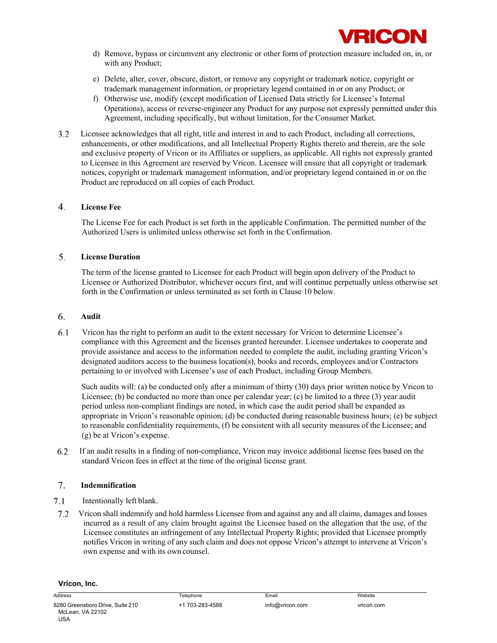

- d) Remove, bypass or circumvent any electronic or other form of protection measure included on, in, or with any Product;
- e) Delete, alter, cover, obscure, distort, or remove any copyright or trademark notice, copyright or trademark management information, or proprietary legend contained in or on any Product; or
- f) Otherwise use, modify (except modification of Licensed Data strictly for Licensee's Internal Operations), access or reverse-engineer any Product for any purpose not expressly permitted under this Agreement, including specifically, but without limitation, for the Consumer Market.
- Licensee acknowledges that all right, title and interest in and to each Product, including all corrections,  $3.2$ enhancements, or other modifications, and all Intellectual Property Rights thereto and therein, are the sole and exclusive property of Vricon or its Affiliates or suppliers, as applicable. All rights not expressly granted to Licensee in this Agreement are reserved by Vricon. Licensee will ensure that all copyright or trademark notices, copyright or trademark management information, and/or proprietary legend contained in or on the Product are reproduced on all copies of each Product.

#### **License Fee**

The License Fee for each Product is set forth in the applicable Confirmation. The permitted number of the Authorized Users is unlimited unless otherwise set forth in the Confirmation.

#### **License Duration**

The term of the license granted to Licensee for each Product will begin upon delivery of the Product to Licensee or Authorized Distributor, whichever occurs first, and will continue perpetually unless otherwise set forth in the Confirmation or unless terminated as set forth in Clause 10 below.

#### **Audit**

 $6.1$ Vricon has the right to perform an audit to the extent necessary for Vricon to determine Licensee's compliance with this Agreement and the licenses granted hereunder. Licensee undertakes to cooperate and provide assistance and access to the information needed to complete the audit, including granting Vricon's designated auditors access to the business location(s), books and records, employees and/or Contractors pertaining to or involved with Licensee's use of each Product, including Group Members.

Such audits will: (a) be conducted only after a minimum of thirty (30) days prior written notice by Vricon to Licensee; (b) be conducted no more than once per calendar year; (c) be limited to a three (3) year audit period unless non-compliant findings are noted, in which case the audit period shall be expanded as appropriate in Vricon's reasonable opinion; (d) be conducted during reasonable business hours; (e) be subject to reasonable confidentiality requirements, (f) be consistent with all security measures of the Licensee; and (g) be at Vricon's expense.

6.2 If an audit results in a finding of non-compliance, Vricon may invoice additional license fees based on the standard Vricon fees in effect at the time of the original license grant.

#### **Indemnification**

- 7.1 Intentionally left blank.
- $7.2$ Vricon shall indemnify and hold harmless Licensee from and against any and all claims, damages and losses incurred as a result of any claim brought against the Licensee based on the allegation that the use, of the Licensee constitutes an infringement of any Intellectual Property Rights; provided that Licensee promptly notifies Vricon in writing of any such claim and does not oppose Vricon's attempt to intervene at Vricon's own expense and with its own counsel.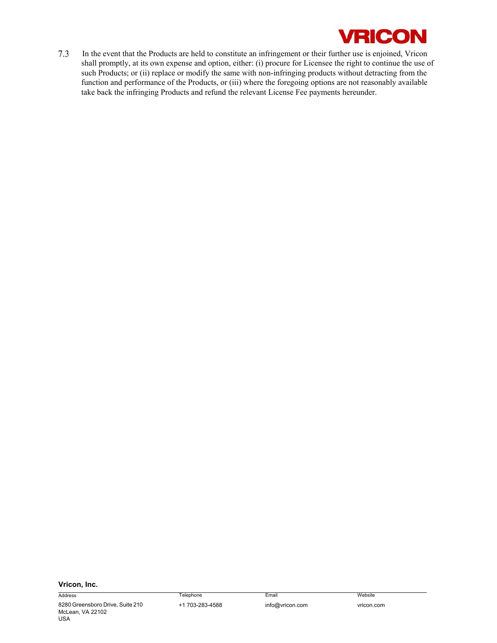

In the event that the Products are held to constitute an infringement or their further use is enjoined, Vricon  $7.3$ shall promptly, at its own expense and option, either: (i) procure for Licensee the right to continue the use of such Products; or (ii) replace or modify the same with non-infringing products without detracting from the function and performance of the Products, or (iii) where the foregoing options are not reasonably available take back the infringing Products and refund the relevant License Fee payments hereunder.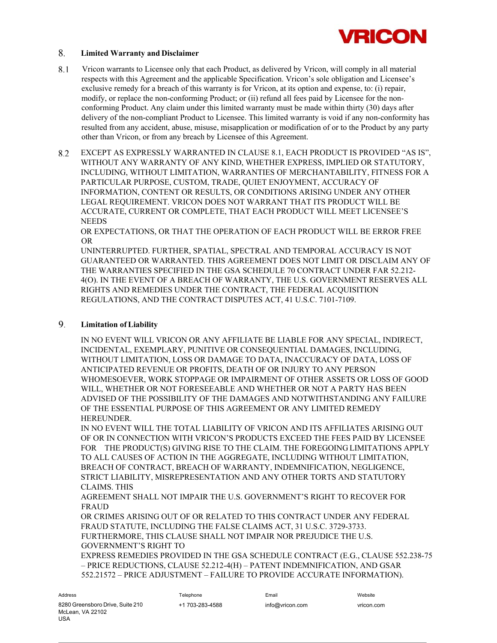

#### **Limited Warranty and Disclaimer**

- 8.1 Vricon warrants to Licensee only that each Product, as delivered by Vricon, will comply in all material respects with this Agreement and the applicable Specification. Vricon's sole obligation and Licensee's exclusive remedy for a breach of this warranty is for Vricon, at its option and expense, to: (i) repair, modify, or replace the non-conforming Product; or (ii) refund all fees paid by Licensee for the nonconforming Product. Any claim under this limited warranty must be made within thirty (30) days after delivery of the non-compliant Product to Licensee. This limited warranty is void if any non-conformity has resulted from any accident, abuse, misuse, misapplication or modification of or to the Product by any party other than Vricon, or from any breach by Licensee of this Agreement.
- 8.2 EXCEPT AS EXPRESSLY WARRANTED IN CLAUSE 8.1, EACH PRODUCT IS PROVIDED "AS IS", WITHOUT ANY WARRANTY OF ANY KIND, WHETHER EXPRESS, IMPLIED OR STATUTORY, INCLUDING, WITHOUT LIMITATION, WARRANTIES OF MERCHANTABILITY, FITNESS FOR A PARTICULAR PURPOSE, CUSTOM, TRADE, QUIET ENJOYMENT, ACCURACY OF INFORMATION, CONTENT OR RESULTS, OR CONDITIONS ARISING UNDER ANY OTHER LEGAL REQUIREMENT. VRICON DOES NOT WARRANT THAT ITS PRODUCT WILL BE ACCURATE, CURRENT OR COMPLETE, THAT EACH PRODUCT WILL MEET LICENSEE'S **NEEDS**

OR EXPECTATIONS, OR THAT THE OPERATION OF EACH PRODUCT WILL BE ERROR FREE OR

UNINTERRUPTED. FURTHER, SPATIAL, SPECTRAL AND TEMPORAL ACCURACY IS NOT GUARANTEED OR WARRANTED. THIS AGREEMENT DOES NOT LIMIT OR DISCLAIM ANY OF THE WARRANTIES SPECIFIED IN THE GSA SCHEDULE 70 CONTRACT UNDER FAR 52.212- 4(O). IN THE EVENT OF A BREACH OF WARRANTY, THE U.S. GOVERNMENT RESERVES ALL RIGHTS AND REMEDIES UNDER THE CONTRACT, THE FEDERAL ACQUISITION REGULATIONS, AND THE CONTRACT DISPUTES ACT, 41 U.S.C. 7101-7109.

#### **Limitation of Liability**

IN NO EVENT WILL VRICON OR ANY AFFILIATE BE LIABLE FOR ANY SPECIAL, INDIRECT, INCIDENTAL, EXEMPLARY, PUNITIVE OR CONSEQUENTIAL DAMAGES, INCLUDING, WITHOUT LIMITATION, LOSS OR DAMAGE TO DATA, INACCURACY OF DATA, LOSS OF ANTICIPATED REVENUE OR PROFITS, DEATH OF OR INJURY TO ANY PERSON WHOMESOEVER, WORK STOPPAGE OR IMPAIRMENT OF OTHER ASSETS OR LOSS OF GOOD WILL, WHETHER OR NOT FORESEEABLE AND WHETHER OR NOT A PARTY HAS BEEN ADVISED OF THE POSSIBILITY OF THE DAMAGES AND NOTWITHSTANDING ANY FAILURE OF THE ESSENTIAL PURPOSE OF THIS AGREEMENT OR ANY LIMITED REMEDY HEREUNDER.

IN NO EVENT WILL THE TOTAL LIABILITY OF VRICON AND ITS AFFILIATES ARISING OUT OF OR IN CONNECTION WITH VRICON'S PRODUCTS EXCEED THE FEES PAID BY LICENSEE FOR THE PRODUCT(S) GIVING RISE TO THE CLAIM. THE FOREGOING LIMITATIONS APPLY TO ALL CAUSES OF ACTION IN THE AGGREGATE, INCLUDING WITHOUT LIMITATION, BREACH OF CONTRACT, BREACH OF WARRANTY, INDEMNIFICATION, NEGLIGENCE, STRICT LIABILITY, MISREPRESENTATION AND ANY OTHER TORTS AND STATUTORY CLAIMS. THIS

AGREEMENT SHALL NOT IMPAIR THE U.S. GOVERNMENT'S RIGHT TO RECOVER FOR FRAUD

OR CRIMES ARISING OUT OF OR RELATED TO THIS CONTRACT UNDER ANY FEDERAL FRAUD STATUTE, INCLUDING THE FALSE CLAIMS ACT, 31 U.S.C. 3729-3733. FURTHERMORE, THIS CLAUSE SHALL NOT IMPAIR NOR PREJUDICE THE U.S. GOVERNMENT'S RIGHT TO

EXPRESS REMEDIES PROVIDED IN THE GSA SCHEDULE CONTRACT (E.G., CLAUSE 552.238-75 – PRICE REDUCTIONS, CLAUSE 52.212-4(H) – PATENT INDEMNIFICATION, AND GSAR 552.21572 – PRICE ADJUSTMENT – FAILURE TO PROVIDE ACCURATE INFORMATION).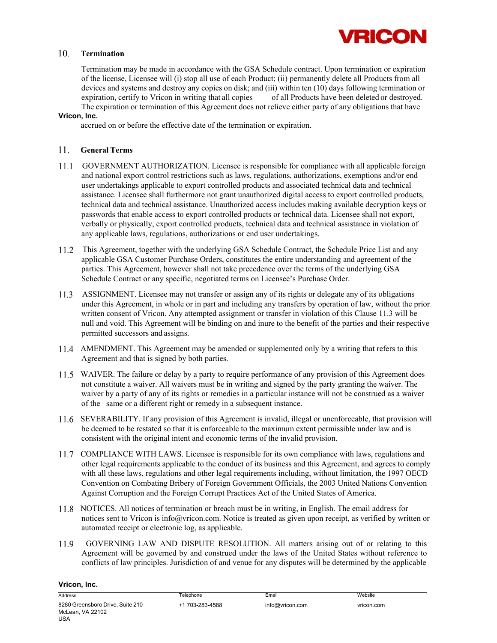

#### **Termination**

Termination may be made in accordance with the GSA Schedule contract. Upon termination or expiration of the license, Licensee will (i) stop all use of each Product; (ii) permanently delete all Products from all devices and systems and destroy any copies on disk; and (iii) within ten (10) days following termination or expiration, certify to Vricon in writing that all copies of all Products have been deleted or destroyed. The expiration or termination of this Agreement does not relieve either party of any obligations that have

#### **Vricon, Inc.**

accrued on or before the effective date of the termination or expiration.

#### **General Terms**

- GOVERNMENT AUTHORIZATION. Licensee is responsible for compliance with all applicable foreign and national export control restrictions such as laws, regulations, authorizations, exemptions and/or end user undertakings applicable to export controlled products and associated technical data and technical assistance. Licensee shall furthermore not grant unauthorized digital access to export controlled products, technical data and technical assistance. Unauthorized access includes making available decryption keys or passwords that enable access to export controlled products or technical data. Licensee shall not export, verbally or physically, export controlled products, technical data and technical assistance in violation of any applicable laws, regulations, authorizations or end user undertakings.
- This Agreement, together with the underlying GSA Schedule Contract, the Schedule Price List and any applicable GSA Customer Purchase Orders, constitutes the entire understanding and agreement of the parties. This Agreement, however shall not take precedence over the terms of the underlying GSA Schedule Contract or any specific, negotiated terms on Licensee's Purchase Order.
- ASSIGNMENT. Licensee may not transfer or assign any of its rights or delegate any of its obligations under this Agreement, in whole or in part and including any transfers by operation of law, without the prior written consent of Vricon. Any attempted assignment or transfer in violation of this Clause 11.3 will be null and void. This Agreement will be binding on and inure to the benefit of the parties and their respective permitted successors and assigns.
- 11.4 AMENDMENT. This Agreement may be amended or supplemented only by a writing that refers to this Agreement and that is signed by both parties.
- WAIVER. The failure or delay by a party to require performance of any provision of this Agreement does not constitute a waiver. All waivers must be in writing and signed by the party granting the waiver. The waiver by a party of any of its rights or remedies in a particular instance will not be construed as a waiver of the same or a different right or remedy in a subsequent instance.
- SEVERABILITY. If any provision of this Agreement is invalid, illegal or unenforceable, that provision will be deemed to be restated so that it is enforceable to the maximum extent permissible under law and is consistent with the original intent and economic terms of the invalid provision.
- 11.7 COMPLIANCE WITH LAWS. Licensee is responsible for its own compliance with laws, regulations and other legal requirements applicable to the conduct of its business and this Agreement, and agrees to comply with all these laws, regulations and other legal requirements including, without limitation, the 1997 OECD Convention on Combating Bribery of Foreign Government Officials, the 2003 United Nations Convention Against Corruption and the Foreign Corrupt Practices Act of the United States of America.
- NOTICES. All notices of termination or breach must be in writing, in English. The email address for notices sent to Vricon is info@vricon.com. Notice is treated as given upon receipt, as verified by written or automated receipt or electronic log, as applicable.
- GOVERNING LAW AND DISPUTE RESOLUTION. All matters arising out of or relating to this 11.9 Agreement will be governed by and construed under the laws of the United States without reference to conflicts of law principles. Jurisdiction of and venue for any disputes will be determined by the applicable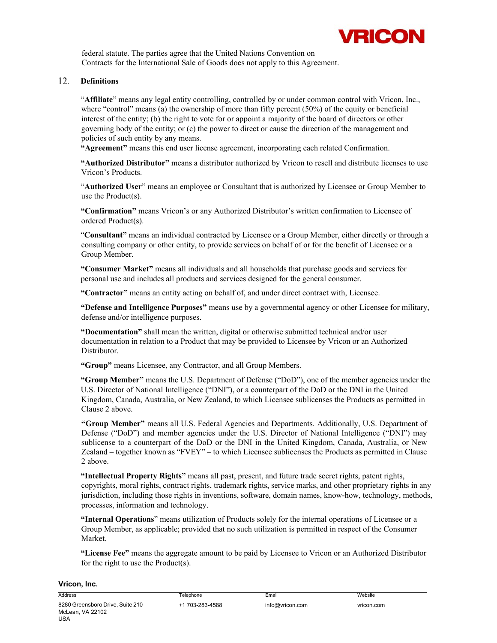

federal statute. The parties agree that the United Nations Convention on Contracts for the International Sale of Goods does not apply to this Agreement.

#### **Definitions**

"**Affiliate**" means any legal entity controlling, controlled by or under common control with Vricon, Inc., where "control" means (a) the ownership of more than fifty percent (50%) of the equity or beneficial interest of the entity; (b) the right to vote for or appoint a majority of the board of directors or other governing body of the entity; or (c) the power to direct or cause the direction of the management and policies of such entity by any means.

**"Agreement"** means this end user license agreement, incorporating each related Confirmation.

**"Authorized Distributor"** means a distributor authorized by Vricon to resell and distribute licenses to use Vricon's Products.

"**Authorized User**" means an employee or Consultant that is authorized by Licensee or Group Member to use the Product(s).

**"Confirmation"** means Vricon's or any Authorized Distributor's written confirmation to Licensee of ordered Product(s).

"**Consultant"** means an individual contracted by Licensee or a Group Member, either directly or through a consulting company or other entity, to provide services on behalf of or for the benefit of Licensee or a Group Member.

**"Consumer Market"** means all individuals and all households that purchase goods and services for personal use and includes all products and services designed for the general consumer.

**"Contractor"** means an entity acting on behalf of, and under direct contract with, Licensee.

**"Defense and Intelligence Purposes"** means use by a governmental agency or other Licensee for military, defense and/or intelligence purposes.

**"Documentation"** shall mean the written, digital or otherwise submitted technical and/or user documentation in relation to a Product that may be provided to Licensee by Vricon or an Authorized Distributor.

**"Group"** means Licensee, any Contractor, and all Group Members.

**"Group Member"** means the U.S. Department of Defense ("DoD"), one of the member agencies under the U.S. Director of National Intelligence ("DNI"), or a counterpart of the DoD or the DNI in the United Kingdom, Canada, Australia, or New Zealand, to which Licensee sublicenses the Products as permitted in Clause 2 above.

**"Group Member"** means all U.S. Federal Agencies and Departments. Additionally, U.S. Department of Defense ("DoD") and member agencies under the U.S. Director of National Intelligence ("DNI") may sublicense to a counterpart of the DoD or the DNI in the United Kingdom, Canada, Australia, or New Zealand – together known as "FVEY" – to which Licensee sublicenses the Products as permitted in Clause 2 above.

**"Intellectual Property Rights"** means all past, present, and future trade secret rights, patent rights, copyrights, moral rights, contract rights, trademark rights, service marks, and other proprietary rights in any jurisdiction, including those rights in inventions, software, domain names, know-how, technology, methods, processes, information and technology.

**"Internal Operations**" means utilization of Products solely for the internal operations of Licensee or a Group Member, as applicable; provided that no such utilization is permitted in respect of the Consumer Market.

**"License Fee"** means the aggregate amount to be paid by Licensee to Vricon or an Authorized Distributor for the right to use the Product(s).